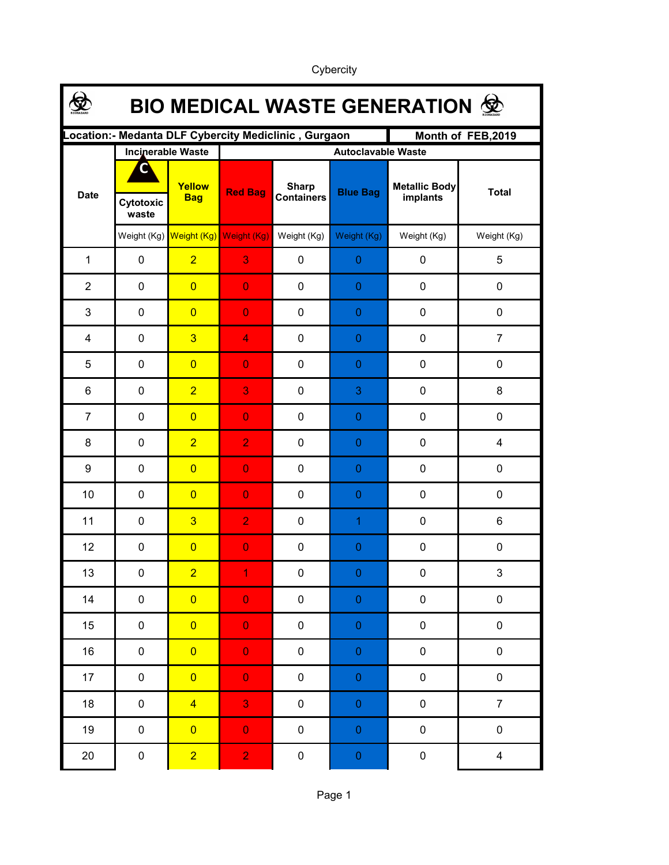| <b>BIO MEDICAL WASTE GENERATION 佥</b>                                      |                    |                          |                                     |                                   |                  |                           |                           |  |  |  |
|----------------------------------------------------------------------------|--------------------|--------------------------|-------------------------------------|-----------------------------------|------------------|---------------------------|---------------------------|--|--|--|
| ocation:- Medanta DLF Cybercity Mediclinic, Gurgaon.<br>Month of FEB, 2019 |                    |                          |                                     |                                   |                  |                           |                           |  |  |  |
|                                                                            |                    | <b>Incinerable Waste</b> | <b>Autoclavable Waste</b>           |                                   |                  |                           |                           |  |  |  |
| <b>Date</b>                                                                | Cytotoxic<br>waste | Yellow<br><b>Bag</b>     | <b>Red Bag</b>                      | <b>Sharp</b><br><b>Containers</b> | <b>Blue Bag</b>  | Metallic Body<br>implants | <b>Total</b>              |  |  |  |
|                                                                            |                    |                          | Weight (Kg) Weight (Kg) Weight (Kg) | Weight (Kg)                       | Weight (Kg)      | Weight (Kg)               | Weight (Kg)               |  |  |  |
| $\mathbf{1}$                                                               | $\mathbf 0$        | $\overline{2}$           | 3                                   | 0                                 | $\boldsymbol{0}$ | 0                         | 5                         |  |  |  |
| $\overline{2}$                                                             | $\mathbf 0$        | $\overline{0}$           | $\overline{0}$                      | $\mathbf 0$                       | $\mathbf{0}$     | $\mathbf 0$               | 0                         |  |  |  |
| 3                                                                          | $\mathbf 0$        | $\overline{0}$           | $\overline{0}$                      | $\mathbf 0$                       | $\mathbf{0}$     | $\mathbf 0$               | $\mathbf 0$               |  |  |  |
| 4                                                                          | $\mathbf 0$        | $\overline{3}$           | $\overline{4}$                      | $\mathbf 0$                       | $\mathbf{0}$     | $\mathbf 0$               | $\overline{7}$            |  |  |  |
| 5                                                                          | $\mathbf 0$        | $\overline{0}$           | $\overline{0}$                      | $\mathbf 0$                       | $\mathbf{0}$     | $\mathbf 0$               | $\mathbf 0$               |  |  |  |
| 6                                                                          | $\mathbf 0$        | $\overline{2}$           | 3                                   | $\mathbf 0$                       | 3                | $\mathbf 0$               | 8                         |  |  |  |
| $\overline{7}$                                                             | $\mathbf 0$        | $\overline{0}$           | $\overline{0}$                      | $\mathbf 0$                       | $\mathbf{0}$     | $\mathbf 0$               | $\mathbf 0$               |  |  |  |
| 8                                                                          | $\mathbf 0$        | $\overline{2}$           | $\overline{2}$                      | $\mathbf 0$                       | $\mathbf{0}$     | $\mathbf 0$               | 4                         |  |  |  |
| 9                                                                          | $\mathbf 0$        | $\overline{0}$           | $\overline{0}$                      | $\mathbf 0$                       | $\mathbf{0}$     | $\mathbf 0$               | $\mathbf 0$               |  |  |  |
| 10                                                                         | $\mathbf 0$        | $\overline{0}$           | $\overline{0}$                      | $\mathbf 0$                       | $\mathbf{0}$     | $\mathbf 0$               | $\mathbf 0$               |  |  |  |
| 11                                                                         | $\mathbf 0$        | $\overline{3}$           | $\overline{2}$                      | $\mathbf 0$                       | $\overline{1}$   | $\mathbf 0$               | 6                         |  |  |  |
| 12                                                                         | $\mathbf 0$        | $\overline{0}$           | $\overline{0}$                      | $\mathbf 0$                       | $\mathbf{0}$     | $\mathbf 0$               | $\pmb{0}$                 |  |  |  |
| 13                                                                         | $\pmb{0}$          | $\overline{2}$           | 1                                   | 0                                 | $\pmb{0}$        | $\pmb{0}$                 | $\ensuremath{\mathsf{3}}$ |  |  |  |
| 14                                                                         | $\pmb{0}$          | $\overline{0}$           | $\mathbf 0$                         | $\pmb{0}$                         | $\pmb{0}$        | $\pmb{0}$                 | $\mathsf{O}\xspace$       |  |  |  |
| 15                                                                         | $\pmb{0}$          | $\overline{0}$           | $\mathbf 0$                         | $\pmb{0}$                         | $\pmb{0}$        | $\pmb{0}$                 | $\pmb{0}$                 |  |  |  |
| 16                                                                         | $\pmb{0}$          | $\overline{0}$           | $\mathbf 0$                         | $\pmb{0}$                         | $\pmb{0}$        | $\pmb{0}$                 | $\pmb{0}$                 |  |  |  |
| 17                                                                         | $\pmb{0}$          | $\overline{0}$           | $\mathbf 0$                         | $\pmb{0}$                         | $\pmb{0}$        | $\pmb{0}$                 | $\pmb{0}$                 |  |  |  |
| 18                                                                         | $\pmb{0}$          | $\overline{4}$           | 3                                   | $\pmb{0}$                         | $\boldsymbol{0}$ | $\pmb{0}$                 | $\overline{7}$            |  |  |  |
| 19                                                                         | $\pmb{0}$          | $\overline{0}$           | $\mathbf 0$                         | $\pmb{0}$                         | $\boldsymbol{0}$ | $\pmb{0}$                 | $\pmb{0}$                 |  |  |  |
| $20\,$                                                                     | $\pmb{0}$          | $\overline{2}$           | $\overline{2}$                      | $\pmb{0}$                         | $\pmb{0}$        | $\pmb{0}$                 | $\overline{\mathbf{4}}$   |  |  |  |

Cybercity